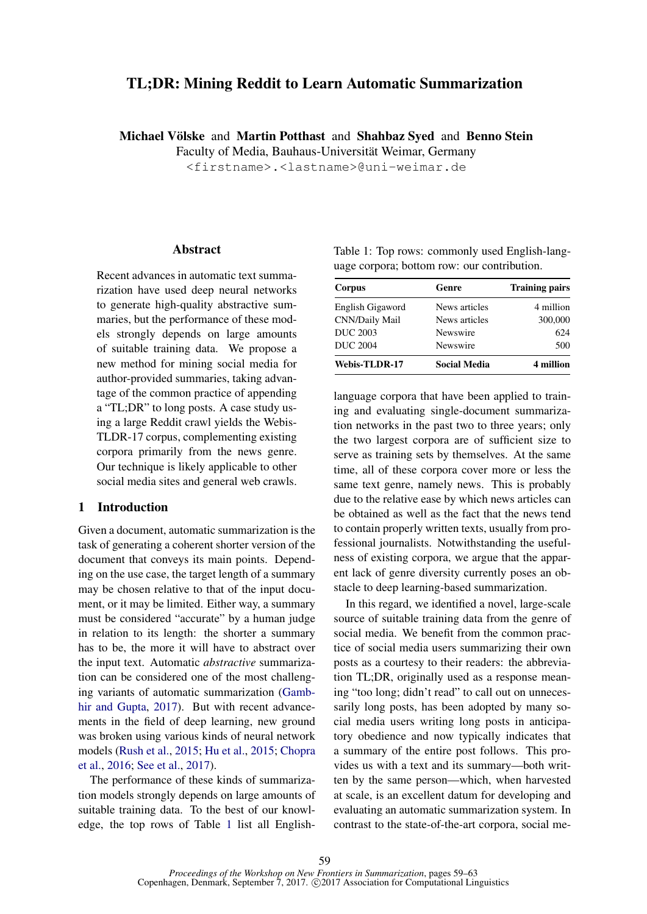# TL;DR: Mining Reddit to Learn Automatic Summarization

Michael Völske and Martin Potthast and Shahbaz Syed and Benno Stein

Faculty of Media, Bauhaus-Universität Weimar, Germany

<firstname>.<lastname>@uni-weimar.de

## **Abstract**

Recent advances in automatic text summarization have used deep neural networks to generate high-quality abstractive summaries, but the performance of these models strongly depends on large amounts of suitable training data. We propose a new method for mining social media for author-provided summaries, taking advantage of the common practice of appending a "TL;DR" to long posts. A case study using a large Reddit crawl yields the Webis-TLDR-17 corpus, complementing existing corpora primarily from the news genre. Our technique is likely applicable to other social media sites and general web crawls.

## 1 Introduction

Given a document, automatic summarization is the task of generating a coherent shorter version of the document that conveys its main points. Depending on the use case, the target length of a summary may be chosen relative to that of the input document, or it may be limited. Either way, a summary must be considered "accurate" by a human judge in relation to its length: the shorter a summary has to be, the more it will have to abstract over the input text. Automatic *abstractive* summarization can be considered one of the most challenging variants of automatic summarization (Gambhir and Gupta, 2017). But with recent advancements in the field of deep learning, new ground was broken using various kinds of neural network models (Rush et al., 2015; Hu et al., 2015; Chopra et al., 2016; See et al., 2017).

The performance of these kinds of summarization models strongly depends on large amounts of suitable training data. To the best of our knowledge, the top rows of Table 1 list all EnglishTable 1: Top rows: commonly used English-language corpora; bottom row: our contribution.

| Corpus               | Genre               | <b>Training pairs</b> |  |
|----------------------|---------------------|-----------------------|--|
| English Gigaword     | News articles       | 4 million             |  |
| CNN/Daily Mail       | News articles       | 300,000               |  |
| <b>DUC 2003</b>      | Newswire            | 624                   |  |
| <b>DUC 2004</b>      | Newswire            | 500                   |  |
| <b>Webis-TLDR-17</b> | <b>Social Media</b> | 4 million             |  |

language corpora that have been applied to training and evaluating single-document summarization networks in the past two to three years; only the two largest corpora are of sufficient size to serve as training sets by themselves. At the same time, all of these corpora cover more or less the same text genre, namely news. This is probably due to the relative ease by which news articles can be obtained as well as the fact that the news tend to contain properly written texts, usually from professional journalists. Notwithstanding the usefulness of existing corpora, we argue that the apparent lack of genre diversity currently poses an obstacle to deep learning-based summarization.

In this regard, we identified a novel, large-scale source of suitable training data from the genre of social media. We benefit from the common practice of social media users summarizing their own posts as a courtesy to their readers: the abbreviation TL;DR, originally used as a response meaning "too long; didn't read" to call out on unnecessarily long posts, has been adopted by many social media users writing long posts in anticipatory obedience and now typically indicates that a summary of the entire post follows. This provides us with a text and its summary—both written by the same person—which, when harvested at scale, is an excellent datum for developing and evaluating an automatic summarization system. In contrast to the state-of-the-art corpora, social me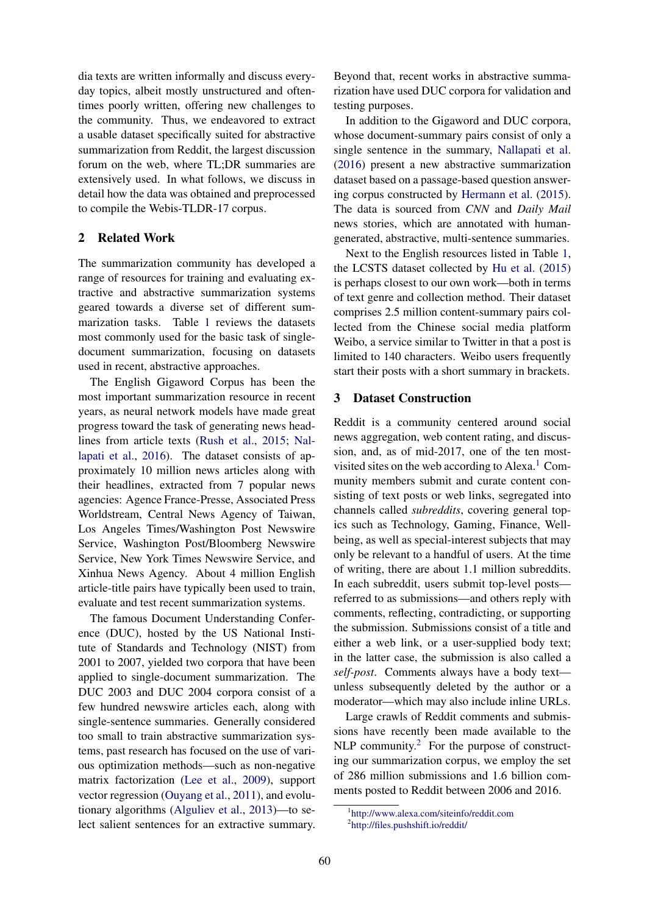dia texts are written informally and discuss everyday topics, albeit mostly unstructured and oftentimes poorly written, offering new challenges to the community. Thus, we endeavored to extract a usable dataset specifically suited for abstractive summarization from Reddit, the largest discussion forum on the web, where TL;DR summaries are extensively used. In what follows, we discuss in detail how the data was obtained and preprocessed to compile the Webis-TLDR-17 corpus.

## 2 Related Work

The summarization community has developed a range of resources for training and evaluating extractive and abstractive summarization systems geared towards a diverse set of different summarization tasks. Table 1 reviews the datasets most commonly used for the basic task of singledocument summarization, focusing on datasets used in recent, abstractive approaches.

The English Gigaword Corpus has been the most important summarization resource in recent years, as neural network models have made great progress toward the task of generating news headlines from article texts (Rush et al., 2015; Nallapati et al., 2016). The dataset consists of approximately 10 million news articles along with their headlines, extracted from 7 popular news agencies: Agence France-Presse, Associated Press Worldstream, Central News Agency of Taiwan, Los Angeles Times/Washington Post Newswire Service, Washington Post/Bloomberg Newswire Service, New York Times Newswire Service, and Xinhua News Agency. About 4 million English article-title pairs have typically been used to train, evaluate and test recent summarization systems.

The famous Document Understanding Conference (DUC), hosted by the US National Institute of Standards and Technology (NIST) from 2001 to 2007, yielded two corpora that have been applied to single-document summarization. The DUC 2003 and DUC 2004 corpora consist of a few hundred newswire articles each, along with single-sentence summaries. Generally considered too small to train abstractive summarization systems, past research has focused on the use of various optimization methods—such as non-negative matrix factorization (Lee et al., 2009), support vector regression (Ouyang et al., 2011), and evolutionary algorithms (Alguliev et al., 2013)—to select salient sentences for an extractive summary.

Beyond that, recent works in abstractive summarization have used DUC corpora for validation and testing purposes.

In addition to the Gigaword and DUC corpora, whose document-summary pairs consist of only a single sentence in the summary, Nallapati et al. (2016) present a new abstractive summarization dataset based on a passage-based question answering corpus constructed by Hermann et al. (2015). The data is sourced from *CNN* and *Daily Mail* news stories, which are annotated with humangenerated, abstractive, multi-sentence summaries.

Next to the English resources listed in Table 1, the LCSTS dataset collected by Hu et al. (2015) is perhaps closest to our own work—both in terms of text genre and collection method. Their dataset comprises 2.5 million content-summary pairs collected from the Chinese social media platform Weibo, a service similar to Twitter in that a post is limited to 140 characters. Weibo users frequently start their posts with a short summary in brackets.

## 3 Dataset Construction

Reddit is a community centered around social news aggregation, web content rating, and discussion, and, as of mid-2017, one of the ten mostvisited sites on the web according to Alexa.<sup>1</sup> Community members submit and curate content consisting of text posts or web links, segregated into channels called *subreddits*, covering general topics such as Technology, Gaming, Finance, Wellbeing, as well as special-interest subjects that may only be relevant to a handful of users. At the time of writing, there are about 1.1 million subreddits. In each subreddit, users submit top-level posts referred to as submissions—and others reply with comments, reflecting, contradicting, or supporting the submission. Submissions consist of a title and either a web link, or a user-supplied body text; in the latter case, the submission is also called a *self-post*. Comments always have a body text unless subsequently deleted by the author or a moderator—which may also include inline URLs.

Large crawls of Reddit comments and submissions have recently been made available to the  $NLP$  community.<sup>2</sup> For the purpose of constructing our summarization corpus, we employ the set of 286 million submissions and 1.6 billion comments posted to Reddit between 2006 and 2016.

<sup>1</sup> http://www.alexa.com/siteinfo/reddit.com 2 http://files.pushshift.io/reddit/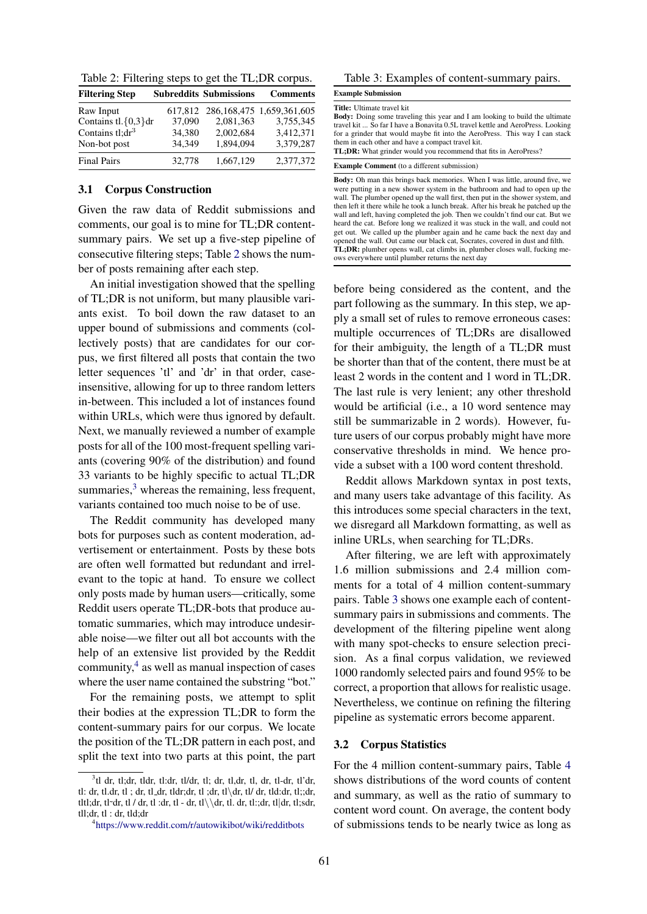| Table 2: Filtering steps to get the TL;DR corpus. |  |
|---------------------------------------------------|--|
|---------------------------------------------------|--|

| <b>Filtering Step</b>               |        | <b>Subreddits Submissions</b> | <b>Comments</b>                   |
|-------------------------------------|--------|-------------------------------|-----------------------------------|
| Raw Input                           |        |                               | 617,812 286,168,475 1,659,361,605 |
| Contains $tl.\lbrace 0,3\rbrace dr$ | 37,090 | 2,081,363                     | 3.755.345                         |
| Contains tl;dr <sup>3</sup>         | 34.380 | 2,002,684                     | 3,412,371                         |
| Non-bot post                        | 34.349 | 1.894.094                     | 3,379,287                         |
| <b>Final Pairs</b>                  | 32,778 | 1,667,129                     | 2,377,372                         |

### 3.1 Corpus Construction

Given the raw data of Reddit submissions and comments, our goal is to mine for TL;DR contentsummary pairs. We set up a five-step pipeline of consecutive filtering steps; Table 2 shows the number of posts remaining after each step.

An initial investigation showed that the spelling of TL;DR is not uniform, but many plausible variants exist. To boil down the raw dataset to an upper bound of submissions and comments (collectively posts) that are candidates for our corpus, we first filtered all posts that contain the two letter sequences 'tl' and 'dr' in that order, caseinsensitive, allowing for up to three random letters in-between. This included a lot of instances found within URLs, which were thus ignored by default. Next, we manually reviewed a number of example posts for all of the 100 most-frequent spelling variants (covering 90% of the distribution) and found 33 variants to be highly specific to actual TL;DR summaries, $3$  whereas the remaining, less frequent, variants contained too much noise to be of use.

The Reddit community has developed many bots for purposes such as content moderation, advertisement or entertainment. Posts by these bots are often well formatted but redundant and irrelevant to the topic at hand. To ensure we collect only posts made by human users—critically, some Reddit users operate TL;DR-bots that produce automatic summaries, which may introduce undesirable noise—we filter out all bot accounts with the help of an extensive list provided by the Reddit community,<sup>4</sup> as well as manual inspection of cases where the user name contained the substring "bot."

For the remaining posts, we attempt to split their bodies at the expression TL;DR to form the content-summary pairs for our corpus. We locate the position of the TL;DR pattern in each post, and split the text into two parts at this point, the part

#### Table 3: Examples of content-summary pairs.

Example Submission

#### Title: Ultimate travel kit

Body: Doing some traveling this year and I am looking to build the ultimate travel kit ... So far I have a Bonavita 0.5L travel kettle and AeroPress. Looking for a grinder that would maybe fit into the AeroPress. This way I can stack them in each other and have a compact travel kit.

TL;DR: What grinder would you recommend that fits in AeroPress?

#### Example Comment (to a different submission)

Body: Oh man this brings back memories. When I was little, around five, we were putting in a new shower system in the bathroom and had to open up the wall. The plumber opened up the wall first, then put in the shower system, and then left it there while he took a lunch break. After his break he patched up the wall and left, having completed the job. Then we couldn't find our cat. But we heard the cat. Before long we realized it was stuck in the wall, and could not get out. We called up the plumber again and he came back the next day and opened the wall. Out came our black cat, Socrates, covered in dust and filth. TL;DR: plumber opens wall, cat climbs in, plumber closes wall, fucking meows everywhere until plumber returns the next day

before being considered as the content, and the part following as the summary. In this step, we apply a small set of rules to remove erroneous cases: multiple occurrences of TL;DRs are disallowed for their ambiguity, the length of a TL;DR must be shorter than that of the content, there must be at least 2 words in the content and 1 word in TL;DR. The last rule is very lenient; any other threshold would be artificial (i.e., a 10 word sentence may still be summarizable in 2 words). However, future users of our corpus probably might have more conservative thresholds in mind. We hence provide a subset with a 100 word content threshold.

Reddit allows Markdown syntax in post texts, and many users take advantage of this facility. As this introduces some special characters in the text, we disregard all Markdown formatting, as well as inline URLs, when searching for TL;DRs.

After filtering, we are left with approximately 1.6 million submissions and 2.4 million comments for a total of 4 million content-summary pairs. Table 3 shows one example each of contentsummary pairs in submissions and comments. The development of the filtering pipeline went along with many spot-checks to ensure selection precision. As a final corpus validation, we reviewed 1000 randomly selected pairs and found 95% to be correct, a proportion that allows for realistic usage. Nevertheless, we continue on refining the filtering pipeline as systematic errors become apparent.

### 3.2 Corpus Statistics

For the 4 million content-summary pairs, Table 4 shows distributions of the word counts of content and summary, as well as the ratio of summary to content word count. On average, the content body of submissions tends to be nearly twice as long as

<sup>3</sup> tl dr, tl;dr, tldr, tl:dr, tl/dr, tl; dr, tl,dr, tl, dr, tl-dr, tl'dr, tl: dr, tl.dr, tl ; dr, tl\_dr, tldr;dr, tl ;dr, tl $\dagger$  dr, tl $\dagger$  dr, tld:dr, tl;;dr, tltl;dr, tl~dr, tl / dr, tl :dr, tl - dr, tl $\dagger$ , tl. dr, tl:;dr, tl $\dagger$ , tl;sdr, tll;dr, tl : dr, tld;dr

<sup>4</sup> https://www.reddit.com/r/autowikibot/wiki/redditbots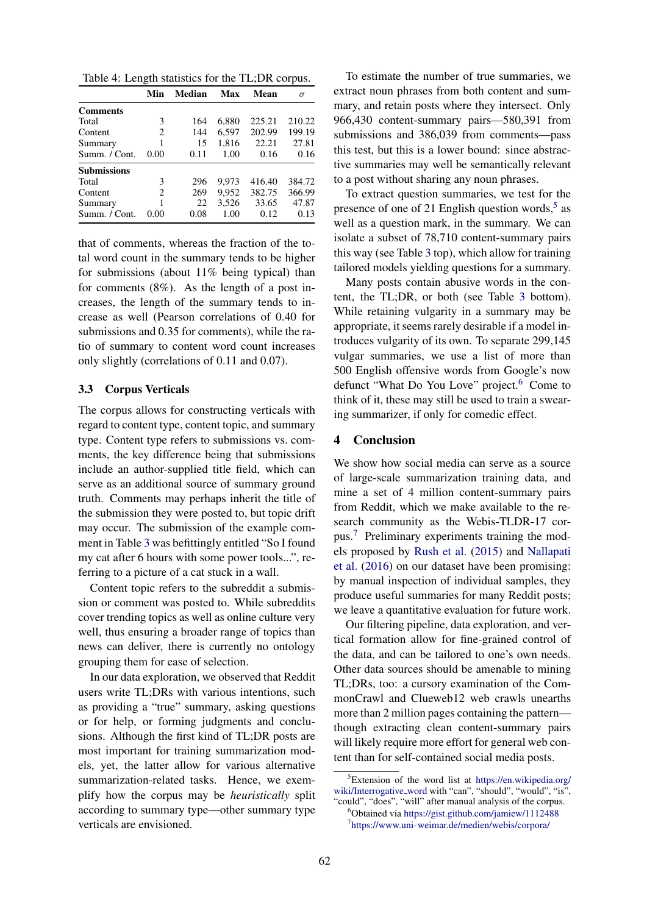Table 4: Length statistics for the TL;DR corpus.

|                    | Min  | Median | Max   | Mean   | σ      |
|--------------------|------|--------|-------|--------|--------|
| <b>Comments</b>    |      |        |       |        |        |
| Total              | 3    | 164    | 6.880 | 225.21 | 210.22 |
| Content            | 2    | 144    | 6,597 | 202.99 | 199.19 |
| Summary            | 1    | 15     | 1,816 | 22.21  | 27.81  |
| Summ. / Cont.      | 0.00 | 0.11   | 1.00  | 0.16   | 0.16   |
| <b>Submissions</b> |      |        |       |        |        |
| Total              | 3    | 296    | 9.973 | 416.40 | 384.72 |
| Content            | 2    | 269    | 9.952 | 382.75 | 366.99 |
| Summary            | 1    | 22     | 3.526 | 33.65  | 47.87  |
| Summ. / Cont.      | 0.00 | 0.08   | 1.00  | 0.12   | 0.13   |

that of comments, whereas the fraction of the total word count in the summary tends to be higher for submissions (about 11% being typical) than for comments (8%). As the length of a post increases, the length of the summary tends to increase as well (Pearson correlations of 0.40 for submissions and 0.35 for comments), while the ratio of summary to content word count increases only slightly (correlations of 0.11 and 0.07).

### 3.3 Corpus Verticals

The corpus allows for constructing verticals with regard to content type, content topic, and summary type. Content type refers to submissions vs. comments, the key difference being that submissions include an author-supplied title field, which can serve as an additional source of summary ground truth. Comments may perhaps inherit the title of the submission they were posted to, but topic drift may occur. The submission of the example comment in Table 3 was befittingly entitled "So I found my cat after 6 hours with some power tools...", referring to a picture of a cat stuck in a wall.

Content topic refers to the subreddit a submission or comment was posted to. While subreddits cover trending topics as well as online culture very well, thus ensuring a broader range of topics than news can deliver, there is currently no ontology grouping them for ease of selection.

In our data exploration, we observed that Reddit users write TL;DRs with various intentions, such as providing a "true" summary, asking questions or for help, or forming judgments and conclusions. Although the first kind of TL;DR posts are most important for training summarization models, yet, the latter allow for various alternative summarization-related tasks. Hence, we exemplify how the corpus may be *heuristically* split according to summary type—other summary type verticals are envisioned.

To estimate the number of true summaries, we extract noun phrases from both content and summary, and retain posts where they intersect. Only 966,430 content-summary pairs—580,391 from submissions and 386,039 from comments—pass this test, but this is a lower bound: since abstractive summaries may well be semantically relevant to a post without sharing any noun phrases.

To extract question summaries, we test for the presence of one of 21 English question words,<sup>5</sup> as well as a question mark, in the summary. We can isolate a subset of 78,710 content-summary pairs this way (see Table 3 top), which allow for training tailored models yielding questions for a summary.

Many posts contain abusive words in the content, the TL;DR, or both (see Table 3 bottom). While retaining vulgarity in a summary may be appropriate, it seems rarely desirable if a model introduces vulgarity of its own. To separate 299,145 vulgar summaries, we use a list of more than 500 English offensive words from Google's now defunct "What Do You Love" project.<sup>6</sup> Come to think of it, these may still be used to train a swearing summarizer, if only for comedic effect.

## 4 Conclusion

We show how social media can serve as a source of large-scale summarization training data, and mine a set of 4 million content-summary pairs from Reddit, which we make available to the research community as the Webis-TLDR-17 corpus.<sup>7</sup> Preliminary experiments training the models proposed by Rush et al. (2015) and Nallapati et al. (2016) on our dataset have been promising: by manual inspection of individual samples, they produce useful summaries for many Reddit posts; we leave a quantitative evaluation for future work.

Our filtering pipeline, data exploration, and vertical formation allow for fine-grained control of the data, and can be tailored to one's own needs. Other data sources should be amenable to mining TL;DRs, too: a cursory examination of the CommonCrawl and Clueweb12 web crawls unearths more than 2 million pages containing the pattern though extracting clean content-summary pairs will likely require more effort for general web content than for self-contained social media posts.

 ${}^{5}$ Extension of the word list at https://en.wikipedia.org/ wiki/Interrogative\_word with "can", "should", "would", "is", "could", "does", "will" after manual analysis of the corpus.

<sup>6</sup>Obtained via https://gist.github.com/jamiew/1112488 7 https://www.uni-weimar.de/medien/webis/corpora/